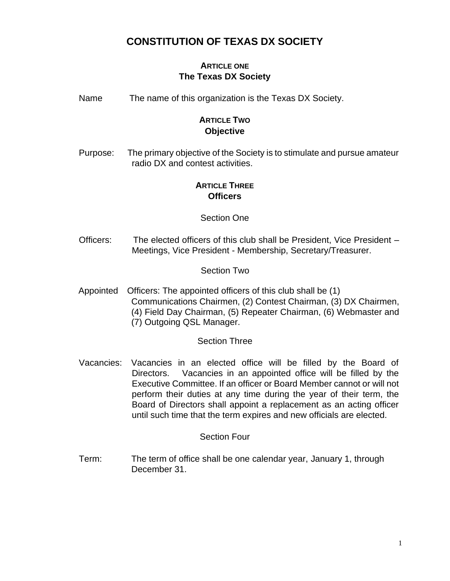## **CONSTITUTION OF TEXAS DX SOCIETY**

## **ARTICLE ONE The Texas DX Society**

Name The name of this organization is the Texas DX Society.

## **ARTICLE TWO Objective**

Purpose: The primary objective of the Society is to stimulate and pursue amateur radio DX and contest activities.

## **ARTICLE THREE Officers**

### Section One

Officers: The elected officers of this club shall be President, Vice President – Meetings, Vice President - Membership, Secretary/Treasurer.

### Section Two

Appointed Officers: The appointed officers of this club shall be (1) Communications Chairmen, (2) Contest Chairman, (3) DX Chairmen, (4) Field Day Chairman, (5) Repeater Chairman, (6) Webmaster and (7) Outgoing QSL Manager.

#### Section Three

Vacancies: Vacancies in an elected office will be filled by the Board of Directors. Vacancies in an appointed office will be filled by the Executive Committee. If an officer or Board Member cannot or will not perform their duties at any time during the year of their term, the Board of Directors shall appoint a replacement as an acting officer until such time that the term expires and new officials are elected.

#### Section Four

Term: The term of office shall be one calendar year, January 1, through December 31.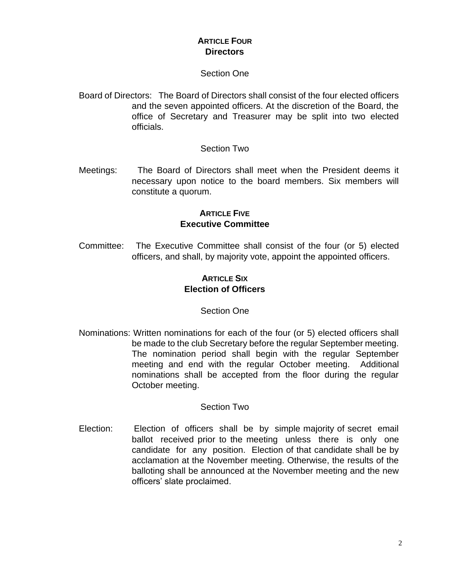## **ARTICLE FOUR Directors**

#### Section One

Board of Directors: The Board of Directors shall consist of the four elected officers and the seven appointed officers. At the discretion of the Board, the office of Secretary and Treasurer may be split into two elected officials.

#### Section Two

Meetings: The Board of Directors shall meet when the President deems it necessary upon notice to the board members. Six members will constitute a quorum.

## **ARTICLE FIVE Executive Committee**

Committee: The Executive Committee shall consist of the four (or 5) elected officers, and shall, by majority vote, appoint the appointed officers.

## **ARTICLE SIX Election of Officers**

#### Section One

Nominations: Written nominations for each of the four (or 5) elected officers shall be made to the club Secretary before the regular September meeting. The nomination period shall begin with the regular September meeting and end with the regular October meeting. Additional nominations shall be accepted from the floor during the regular October meeting.

#### Section Two

Election: Election of officers shall be by simple majority of secret email ballot received prior to the meeting unless there is only one candidate for any position. Election of that candidate shall be by acclamation at the November meeting. Otherwise, the results of the balloting shall be announced at the November meeting and the new officers' slate proclaimed.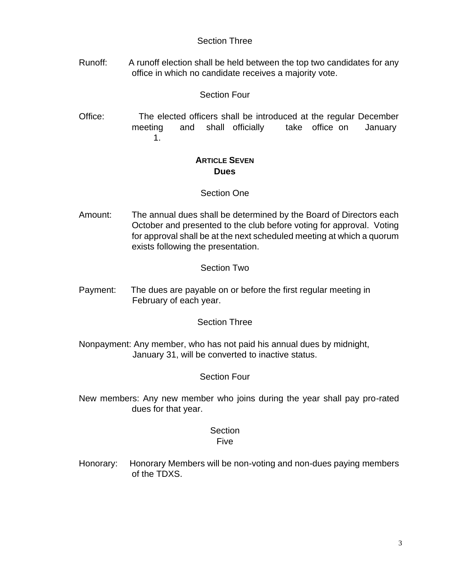#### Section Three

Runoff: A runoff election shall be held between the top two candidates for any office in which no candidate receives a majority vote.

## Section Four

Office: The elected officers shall be introduced at the regular December meeting and shall officially take office on January 1.

## **ARTICLE SEVEN Dues**

### Section One

Amount: The annual dues shall be determined by the Board of Directors each October and presented to the club before voting for approval. Voting for approval shall be at the next scheduled meeting at which a quorum exists following the presentation.

### Section Two

Payment: The dues are payable on or before the first regular meeting in February of each year.

## Section Three

Nonpayment: Any member, who has not paid his annual dues by midnight, January 31, will be converted to inactive status.

## Section Four

New members: Any new member who joins during the year shall pay pro-rated dues for that year.

# **Section**

## Five

Honorary: Honorary Members will be non-voting and non-dues paying members of the TDXS.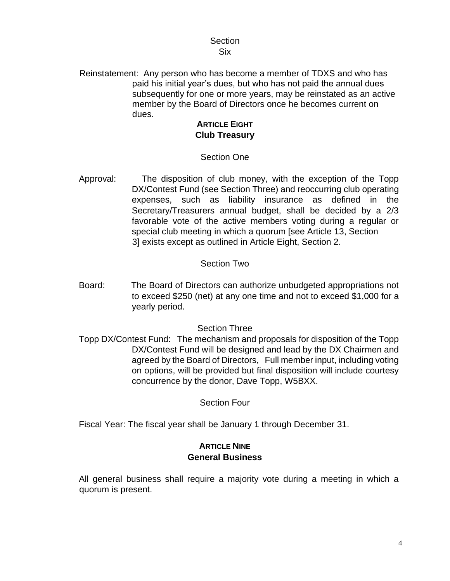#### **Section** Six

Reinstatement: Any person who has become a member of TDXS and who has paid his initial year's dues, but who has not paid the annual dues subsequently for one or more years, may be reinstated as an active member by the Board of Directors once he becomes current on dues.

## **ARTICLE EIGHT Club Treasury**

## Section One

Approval: The disposition of club money, with the exception of the Topp DX/Contest Fund (see Section Three) and reoccurring club operating expenses, such as liability insurance as defined in the Secretary/Treasurers annual budget, shall be decided by a 2/3 favorable vote of the active members voting during a regular or special club meeting in which a quorum [see Article 13, Section 3] exists except as outlined in Article Eight, Section 2.

#### Section Two

Board: The Board of Directors can authorize unbudgeted appropriations not to exceed \$250 (net) at any one time and not to exceed \$1,000 for a yearly period.

#### Section Three

Topp DX/Contest Fund: The mechanism and proposals for disposition of the Topp DX/Contest Fund will be designed and lead by the DX Chairmen and agreed by the Board of Directors, Full member input, including voting on options, will be provided but final disposition will include courtesy concurrence by the donor, Dave Topp, W5BXX.

Section Four

Fiscal Year: The fiscal year shall be January 1 through December 31.

## **ARTICLE NINE General Business**

All general business shall require a majority vote during a meeting in which a quorum is present.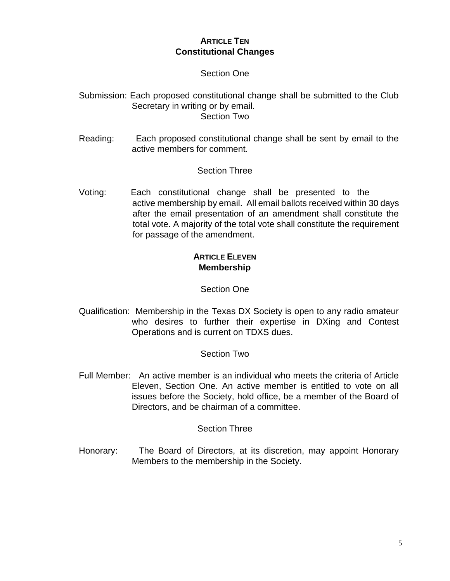## **ARTICLE TEN Constitutional Changes**

#### Section One

Submission: Each proposed constitutional change shall be submitted to the Club Secretary in writing or by email. Section Two

Reading: Each proposed constitutional change shall be sent by email to the active members for comment.

#### Section Three

Voting: Each constitutional change shall be presented to the active membership by email. All email ballots received within 30 days after the email presentation of an amendment shall constitute the total vote. A majority of the total vote shall constitute the requirement for passage of the amendment.

## **ARTICLE ELEVEN Membership**

#### Section One

Qualification: Membership in the Texas DX Society is open to any radio amateur who desires to further their expertise in DXing and Contest Operations and is current on TDXS dues.

#### Section Two

Full Member: An active member is an individual who meets the criteria of Article Eleven, Section One. An active member is entitled to vote on all issues before the Society, hold office, be a member of the Board of Directors, and be chairman of a committee.

#### Section Three

Honorary: The Board of Directors, at its discretion, may appoint Honorary Members to the membership in the Society.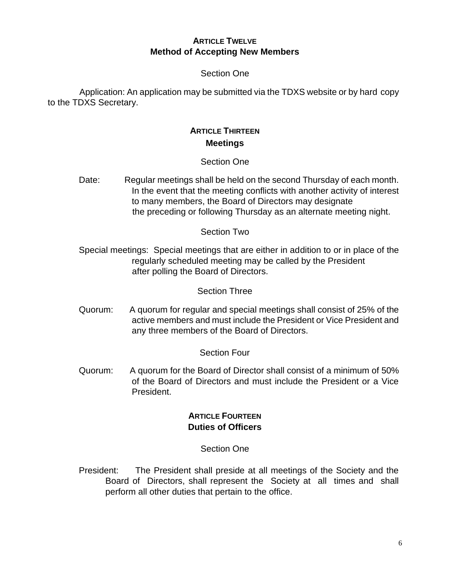#### **ARTICLE TWELVE Method of Accepting New Members**

## Section One

Application: An application may be submitted via the TDXS website or by hard copy to the TDXS Secretary.

## **ARTICLE THIRTEEN Meetings**

### Section One

Date: Regular meetings shall be held on the second Thursday of each month. In the event that the meeting conflicts with another activity of interest to many members, the Board of Directors may designate the preceding or following Thursday as an alternate meeting night.

### Section Two

Special meetings: Special meetings that are either in addition to or in place of the regularly scheduled meeting may be called by the President after polling the Board of Directors.

#### Section Three

Quorum: A quorum for regular and special meetings shall consist of 25% of the active members and must include the President or Vice President and any three members of the Board of Directors.

#### Section Four

Quorum: A quorum for the Board of Director shall consist of a minimum of 50% of the Board of Directors and must include the President or a Vice President.

## **ARTICLE FOURTEEN Duties of Officers**

#### Section One

President: The President shall preside at all meetings of the Society and the Board of Directors, shall represent the Society at all times and shall perform all other duties that pertain to the office.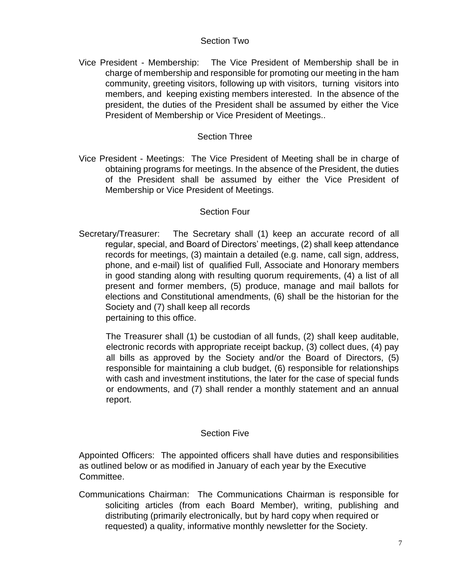#### Section Two

Vice President - Membership: The Vice President of Membership shall be in charge of membership and responsible for promoting our meeting in the ham community, greeting visitors, following up with visitors, turning visitors into members, and keeping existing members interested. In the absence of the president, the duties of the President shall be assumed by either the Vice President of Membership or Vice President of Meetings..

### Section Three

Vice President - Meetings: The Vice President of Meeting shall be in charge of obtaining programs for meetings. In the absence of the President, the duties of the President shall be assumed by either the Vice President of Membership or Vice President of Meetings.

### Section Four

Secretary/Treasurer: The Secretary shall (1) keep an accurate record of all regular, special, and Board of Directors' meetings, (2) shall keep attendance records for meetings, (3) maintain a detailed (e.g. name, call sign, address, phone, and e-mail) list of qualified Full, Associate and Honorary members in good standing along with resulting quorum requirements, (4) a list of all present and former members, (5) produce, manage and mail ballots for elections and Constitutional amendments, (6) shall be the historian for the Society and (7) shall keep all records pertaining to this office.

The Treasurer shall (1) be custodian of all funds, (2) shall keep auditable, electronic records with appropriate receipt backup, (3) collect dues, (4) pay all bills as approved by the Society and/or the Board of Directors, (5) responsible for maintaining a club budget, (6) responsible for relationships with cash and investment institutions, the later for the case of special funds or endowments, and (7) shall render a monthly statement and an annual report.

#### Section Five

Appointed Officers: The appointed officers shall have duties and responsibilities as outlined below or as modified in January of each year by the Executive Committee.

Communications Chairman: The Communications Chairman is responsible for soliciting articles (from each Board Member), writing, publishing and distributing (primarily electronically, but by hard copy when required or requested) a quality, informative monthly newsletter for the Society.